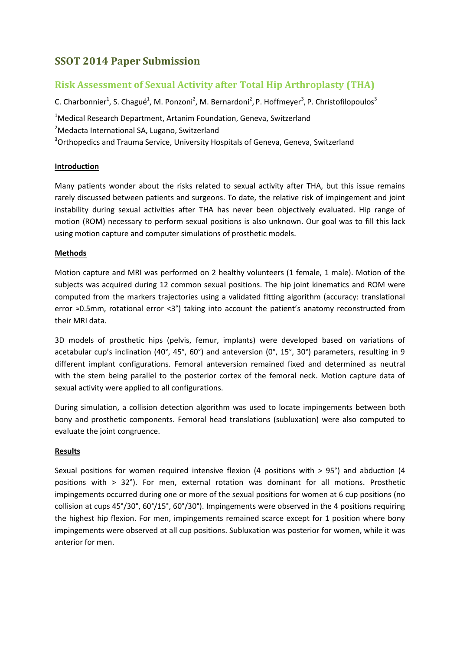# **SSOT 2014 Paper Submission**

## **Risk Assessment of Sexual Activity after Total Hip Arthroplasty (THA)**

C. Charbonnier<sup>1</sup>, S. Chagué<sup>1</sup>, M. Ponzoni<sup>2</sup>, M. Bernardoni<sup>2</sup>, P. Hoffmeyer<sup>3</sup>, P. Christofilopoulos<sup>3</sup>

<sup>1</sup>Medical Research Department, Artanim Foundation, Geneva, Switzerland <sup>2</sup>Medacta International SA, Lugano, Switzerland <sup>3</sup>Orthopedics and Trauma Service, University Hospitals of Geneva, Geneva, Switzerland

### **Introduction**

Many patients wonder about the risks related to sexual activity after THA, but this issue remains rarely discussed between patients and surgeons. To date, the relative risk of impingement and joint instability during sexual activities after THA has never been objectively evaluated. Hip range of motion (ROM) necessary to perform sexual positions is also unknown. Our goal was to fill this lack using motion capture and computer simulations of prosthetic models.

#### **Methods**

Motion capture and MRI was performed on 2 healthy volunteers (1 female, 1 male). Motion of the subjects was acquired during 12 common sexual positions. The hip joint kinematics and ROM were computed from the markers trajectories using a validated fitting algorithm (accuracy: translational error ≈0.5mm, rotational error <3°) taking into account the patient's anatomy reconstructed from their MRI data.

3D models of prosthetic hips (pelvis, femur, implants) were developed based on variations of acetabular cup's inclination (40°, 45°, 60°) and anteversion (0°, 15°, 30°) parameters, resulting in 9 different implant configurations. Femoral anteversion remained fixed and determined as neutral with the stem being parallel to the posterior cortex of the femoral neck. Motion capture data of sexual activity were applied to all configurations.

During simulation, a collision detection algorithm was used to locate impingements between both bony and prosthetic components. Femoral head translations (subluxation) were also computed to evaluate the joint congruence.

#### **Results**

Sexual positions for women required intensive flexion (4 positions with > 95°) and abduction (4 positions with > 32°). For men, external rotation was dominant for all motions. Prosthetic impingements occurred during one or more of the sexual positions for women at 6 cup positions (no collision at cups 45°/30°, 60°/15°, 60°/30°). Impingements were observed in the 4 positions requiring the highest hip flexion. For men, impingements remained scarce except for 1 position where bony impingements were observed at all cup positions. Subluxation was posterior for women, while it was anterior for men.